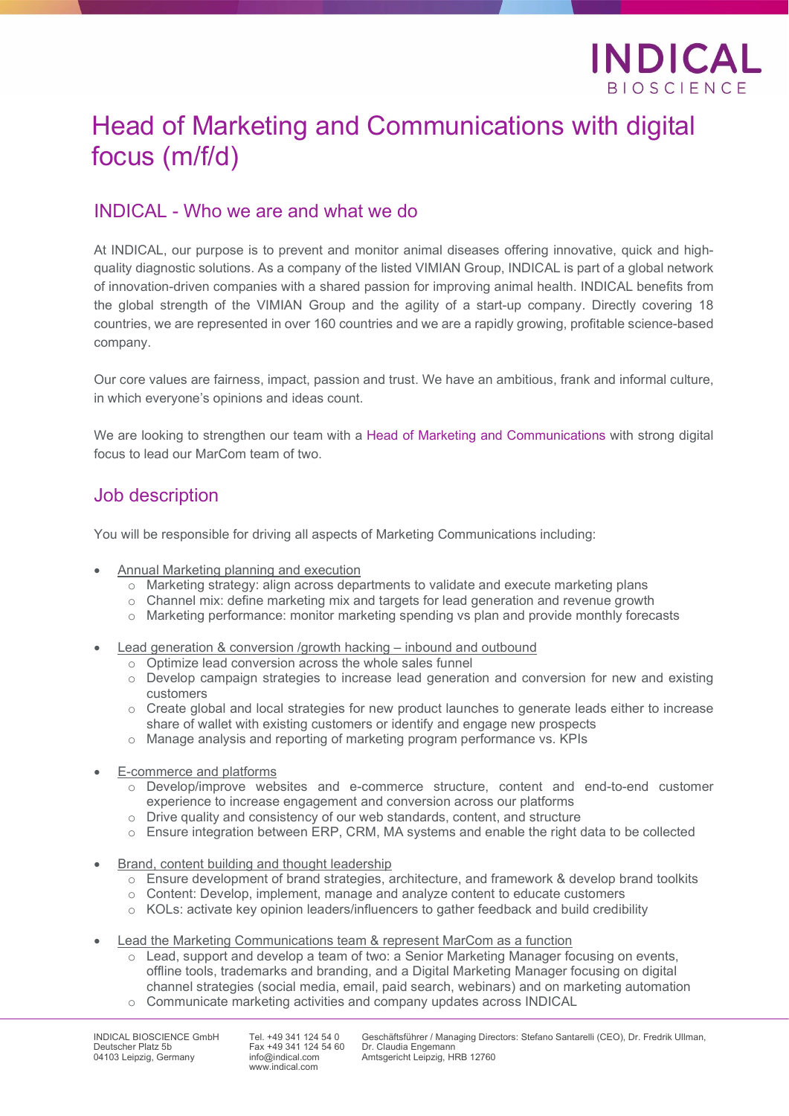

# Head of Marketing and Communications with digital focus (m/f/d)

### INDICAL - Who we are and what we do

At INDICAL, our purpose is to prevent and monitor animal diseases offering innovative, quick and highquality diagnostic solutions. As a company of the listed VIMIAN Group, INDICAL is part of a global network of innovation-driven companies with a shared passion for improving animal health. INDICAL benefits from the global strength of the VIMIAN Group and the agility of a start-up company. Directly covering 18 countries, we are represented in over 160 countries and we are a rapidly growing, profitable science-based company.

Our core values are fairness, impact, passion and trust. We have an ambitious, frank and informal culture, in which everyone's opinions and ideas count.

We are looking to strengthen our team with a Head of Marketing and Communications with strong digital focus to lead our MarCom team of two.

#### Job description

You will be responsible for driving all aspects of Marketing Communications including:

- Annual Marketing planning and execution
	- o Marketing strategy: align across departments to validate and execute marketing plans
	- o Channel mix: define marketing mix and targets for lead generation and revenue growth
	- o Marketing performance: monitor marketing spending vs plan and provide monthly forecasts
- Lead generation & conversion /growth hacking inbound and outbound
	- o Optimize lead conversion across the whole sales funnel
	- o Develop campaign strategies to increase lead generation and conversion for new and existing customers
	- $\circ$  Create global and local strategies for new product launches to generate leads either to increase share of wallet with existing customers or identify and engage new prospects
	- o Manage analysis and reporting of marketing program performance vs. KPIs
- E-commerce and platforms
	- o Develop/improve websites and e-commerce structure, content and end-to-end customer experience to increase engagement and conversion across our platforms
	- o Drive quality and consistency of our web standards, content, and structure
	- o Ensure integration between ERP, CRM, MA systems and enable the right data to be collected
- Brand, content building and thought leadership
	- $\circ$  Ensure development of brand strategies, architecture, and framework & develop brand toolkits
	- o Content: Develop, implement, manage and analyze content to educate customers
	- o KOLs: activate key opinion leaders/influencers to gather feedback and build credibility
- Lead the Marketing Communications team & represent MarCom as a function
	- $\circ$  Lead, support and develop a team of two: a Senior Marketing Manager focusing on events, offline tools, trademarks and branding, and a Digital Marketing Manager focusing on digital channel strategies (social media, email, paid search, webinars) and on marketing automation
	- o Communicate marketing activities and company updates across INDICAL